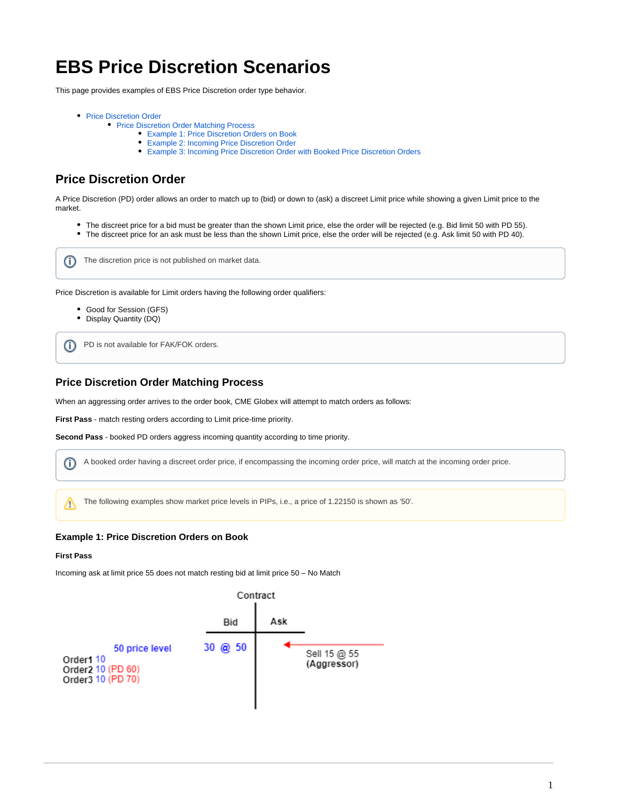# **EBS Price Discretion Scenarios**

This page provides examples of EBS Price Discretion order type behavior.

- [Price Discretion Order](#page-0-0)
	- [Price Discretion Order Matching Process](#page-0-1)
		- [Example 1: Price Discretion Orders on Book](#page-0-2)
		- [Example 2: Incoming Price Discretion Order](#page-1-0)
		- [Example 3: Incoming Price Discretion Order with Booked Price Discretion Orders](#page-2-0)

# <span id="page-0-0"></span>**Price Discretion Order**

A Price Discretion (PD) order allows an order to match up to (bid) or down to (ask) a discreet Limit price while showing a given Limit price to the market.

The discreet price for a bid must be greater than the shown Limit price, else the order will be rejected (e.g. Bid limit 50 with PD 55). The discreet price for an ask must be less than the shown Limit price, else the order will be rejected (e.g. Ask limit 50 with PD 40).



Price Discretion is available for Limit orders having the following order qualifiers:

- Good for Session (GFS)
- Display Quantity (DQ)

PD is not available for FAK/FOK orders. ന

# <span id="page-0-1"></span>**Price Discretion Order Matching Process**

When an aggressing order arrives to the order book, CME Globex will attempt to match orders as follows:

**First Pass** - match resting orders according to Limit price-time priority.

**Second Pass** - booked PD orders aggress incoming quantity according to time priority.

A booked order having a discreet order price, if encompassing the incoming order price, will match at the incoming order price. ⋒

The following examples show market price levels in PIPs, i.e., a price of 1.22150 is shown as '50'.∧

#### <span id="page-0-2"></span>**Example 1: Price Discretion Orders on Book**

#### **First Pass**

Incoming ask at limit price 55 does not match resting bid at limit price 50 – No Match

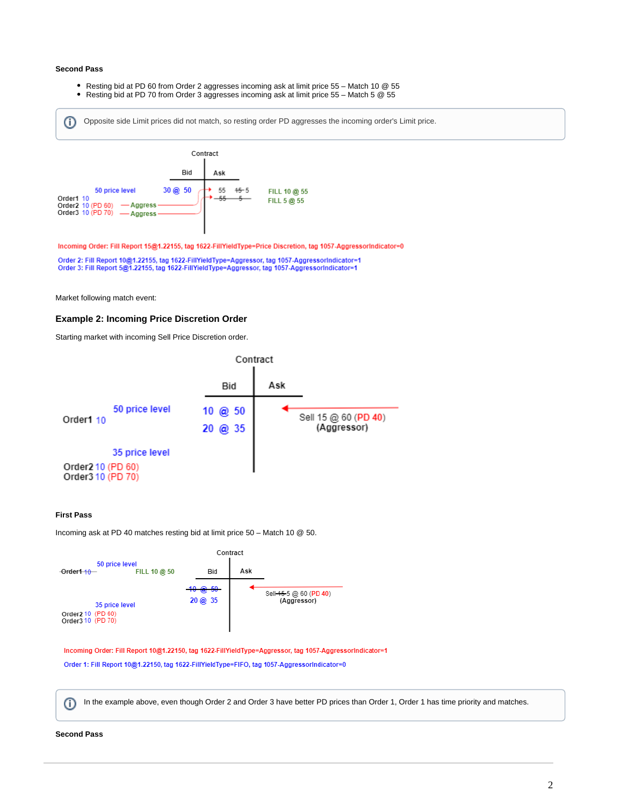#### **Second Pass**

- $\bullet$ Resting bid at PD 60 from Order 2 aggresses incoming ask at limit price 55 – Match 10 @ 55
- Resting bid at PD 70 from Order 3 aggresses incoming ask at limit price 55 Match 5 @ 55

Opposite side Limit prices did not match, so resting order PD aggresses the incoming order's Limit price. ወ



Incoming Order: Fill Report 15@1.22155, tag 1622-FillYieldType=Price Discretion, tag 1057-AggressorIndicator=0

Order 2: Fill Report 10@1.22155, tag 1622-FillYieldType=Aggressor, tag 1057-AggressorIndicator=1<br>Order 3: Fill Report 5@1.22155, tag 1622-FillYieldType=Aggressor, tag 1057-AggressorIndicator=1

Market following match event:

#### <span id="page-1-0"></span>**Example 2: Incoming Price Discretion Order**

Starting market with incoming Sell Price Discretion order.



#### **First Pass**

Incoming ask at PD 40 matches resting bid at limit price 50 – Match 10 @ 50.



Incoming Order: Fill Report 10@1.22150, tag 1622-FillYieldType=Aggressor, tag 1057-AggressorIndicator=1 Order 1: Fill Report 10@1.22150, tag 1622-FillYieldType=FIFO, tag 1057-AggressorIndicator=0

In the example above, even though Order 2 and Order 3 have better PD prices than Order 1, Order 1 has time priority and matches.O)

# **Second Pass**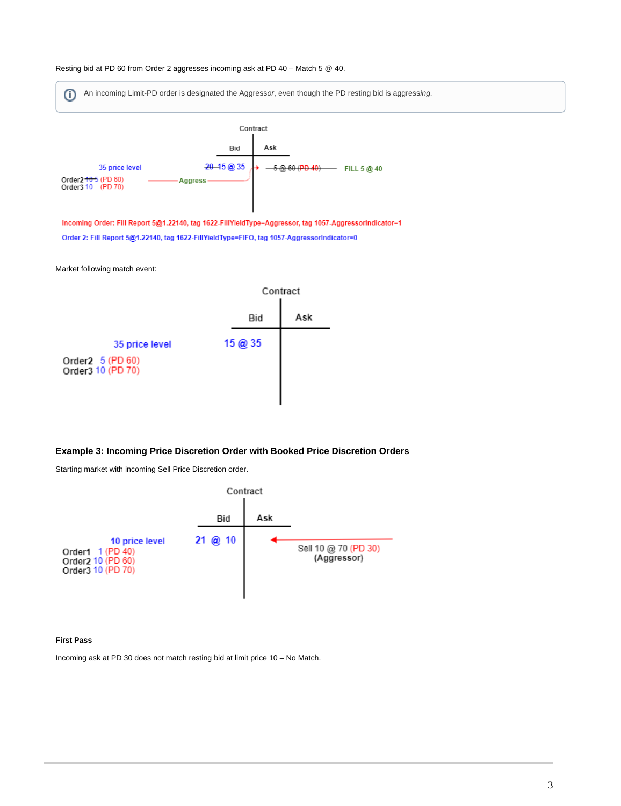



# <span id="page-2-0"></span>**Example 3: Incoming Price Discretion Order with Booked Price Discretion Orders**

Starting market with incoming Sell Price Discretion order.



### **First Pass**

 $\odot$ 

Incoming ask at PD 30 does not match resting bid at limit price 10 – No Match.